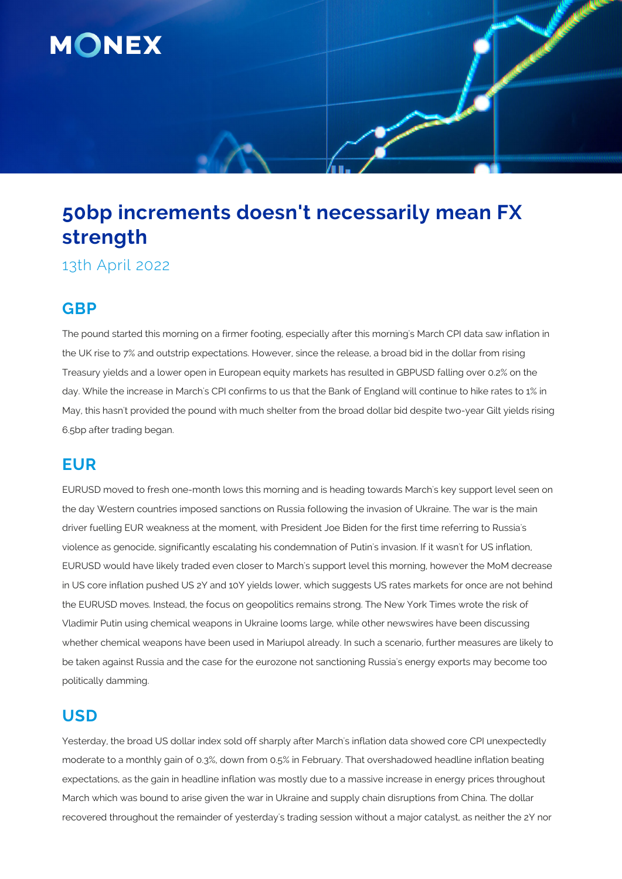

# **50bp increments doesn't necessarily mean FX strength**

13th April 2022

## **GBP**

The pound started this morning on a firmer footing, especially after this morning's March CPI data saw inflation in the UK rise to 7% and outstrip expectations. However, since the release, a broad bid in the dollar from rising Treasury yields and a lower open in European equity markets has resulted in GBPUSD falling over 0.2% on the day. While the increase in March's CPI confirms to us that the Bank of England will continue to hike rates to 1% in May, this hasn't provided the pound with much shelter from the broad dollar bid despite two-year Gilt yields rising 6.5bp after trading began.

## **EUR**

EURUSD moved to fresh one-month lows this morning and is heading towards March's key support level seen on the day Western countries imposed sanctions on Russia following the invasion of Ukraine. The war is the main driver fuelling EUR weakness at the moment, with President Joe Biden for the first time referring to Russia's violence as genocide, significantly escalating his condemnation of Putin's invasion. If it wasn't for US inflation, EURUSD would have likely traded even closer to March's support level this morning, however the MoM decrease in US core inflation pushed US 2Y and 10Y yields lower, which suggests US rates markets for once are not behind the EURUSD moves. Instead, the focus on geopolitics remains strong. The New York Times wrote the risk of Vladimir Putin using chemical weapons in Ukraine looms large, while other newswires have been discussing whether chemical weapons have been used in Mariupol already. In such a scenario, further measures are likely to be taken against Russia and the case for the eurozone not sanctioning Russia's energy exports may become too politically damming.

## **USD**

Yesterday, the broad US dollar index sold off sharply after March's inflation data showed core CPI unexpectedly moderate to a monthly gain of 0.3%, down from 0.5% in February. That overshadowed headline inflation beating expectations, as the gain in headline inflation was mostly due to a massive increase in energy prices throughout March which was bound to arise given the war in Ukraine and supply chain disruptions from China. The dollar recovered throughout the remainder of yesterday's trading session without a major catalyst, as neither the 2Y nor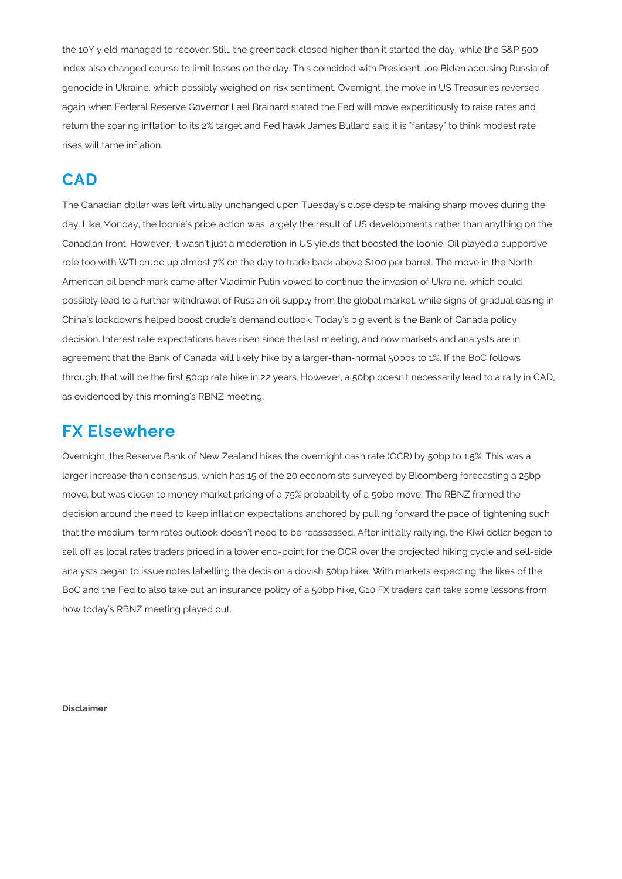the 10Y yield managed to recover. Still, the greenback closed higher than it started the day, while the S&P 500 index also changed course to limit losses on the day. This coincided with President Joe Biden accusing Russia of genocide in Ukraine, which possibly weighed on risk sentiment. Overnight, the move in US Treasuries reversed again when Federal Reserve Governor Lael Brainard stated the Fed will move expeditiously to raise rates and return the soaring inflation to its 2% target and Fed hawk James Bullard said it is "fantasy" to think modest rate rises will tame inflation.

#### **CAD**

The Canadian dollar was left virtually unchanged upon Tuesday's close despite making sharp moves during the day. Like Monday, the loonie's price action was largely the result of US developments rather than anything on the Canadian front. However, it wasn't just a moderation in US yields that boosted the loonie. Oil played a supportive role too with WTI crude up almost 7% on the day to trade back above \$100 per barrel. The move in the North American oil benchmark came after Vladimir Putin vowed to continue the invasion of Ukraine, which could possibly lead to a further withdrawal of Russian oil supply from the global market, while signs of gradual easing in China's lockdowns helped boost crude's demand outlook. Today's big event is the Bank of Canada policy decision. Interest rate expectations have risen since the last meeting, and now markets and analysts are in agreement that the Bank of Canada will likely hike by a larger-than-normal 50bps to 1%. If the BoC follows through, that will be the first 50bp rate hike in 22 years. However, a 50bp doesn't necessarily lead to a rally in CAD, as evidenced by this morning's RBNZ meeting.

#### **FX Elsewhere**

Overnight, the Reserve Bank of New Zealand hikes the overnight cash rate (OCR) by 50bp to 1.5%. This was a larger increase than consensus, which has 15 of the 20 economists surveyed by Bloomberg forecasting a 25bp move, but was closer to money market pricing of a 75% probability of a 50bp move. The RBNZ framed the decision around the need to keep inflation expectations anchored by pulling forward the pace of tightening such that the medium-term rates outlook doesn't need to be reassessed. After initially rallying, the Kiwi dollar began to sell off as local rates traders priced in a lower end-point for the OCR over the projected hiking cycle and sell-side analysts began to issue notes labelling the decision a dovish 50bp hike. With markets expecting the likes of the BoC and the Fed to also take out an insurance policy of a 50bp hike, G10 FX traders can take some lessons from how today's RBNZ meeting played out.

**Disclaimer**